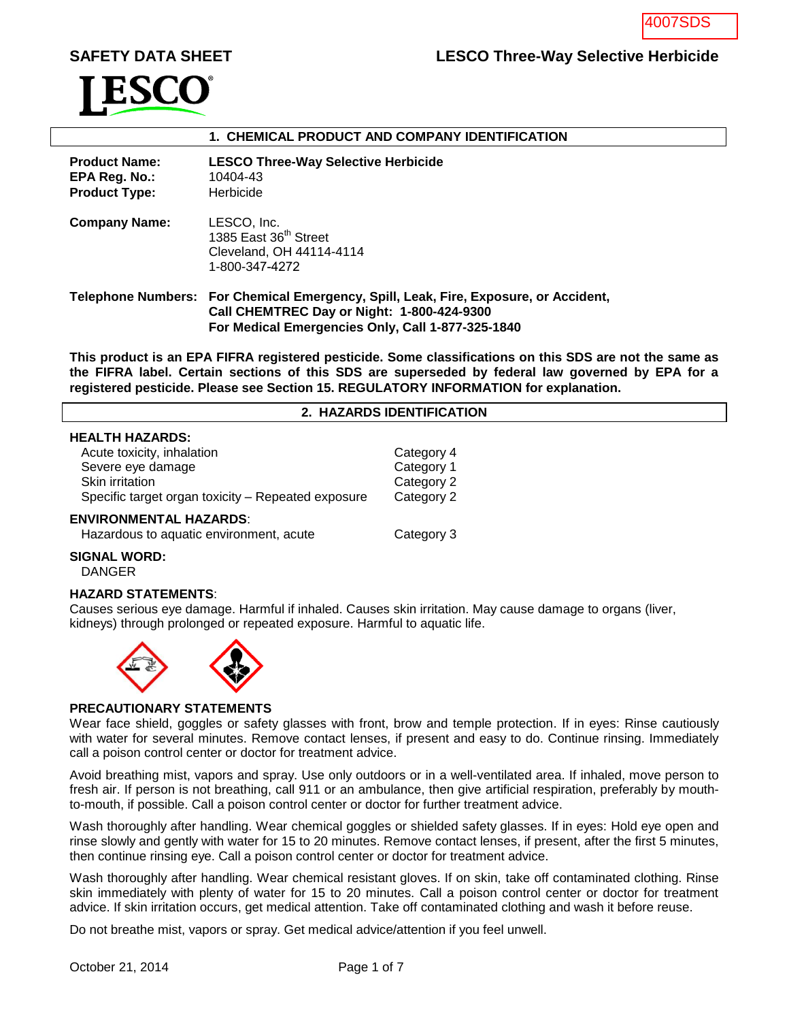# SAFETY DATA SHEET **LESCO Three-Way Selective Herbicide**



# **1. CHEMICAL PRODUCT AND COMPANY IDENTIFICATION**

| <b>Product Name:</b><br>EPA Reg. No.:<br><b>Product Type:</b> | <b>LESCO Three-Way Selective Herbicide</b><br>10404-43<br><b>Herbicide</b>                                                                                                                     |
|---------------------------------------------------------------|------------------------------------------------------------------------------------------------------------------------------------------------------------------------------------------------|
| <b>Company Name:</b>                                          | LESCO, Inc.<br>1385 East 36 <sup>th</sup> Street<br>Cleveland, OH 44114-4114<br>1-800-347-4272                                                                                                 |
|                                                               | Telephone Numbers: For Chemical Emergency, Spill, Leak, Fire, Exposure, or Accident,<br><b>Call CHEMTREC Day or Night: 1-800-424-9300</b><br>For Medical Emergencies Only, Call 1-877-325-1840 |

**This product is an EPA FIFRA registered pesticide. Some classifications on this SDS are not the same as the FIFRA label. Certain sections of this SDS are superseded by federal law governed by EPA for a registered pesticide. Please see Section 15. REGULATORY INFORMATION for explanation.**

#### **2. HAZARDS IDENTIFICATION**

#### **HEALTH HAZARDS:**

| Acute toxicity, inhalation                         | Category 4 |
|----------------------------------------------------|------------|
| Severe eye damage                                  | Category 1 |
| Skin irritation                                    | Category 2 |
| Specific target organ toxicity – Repeated exposure | Category 2 |
| NVIRONMENTAL HAZARDS:                              |            |

#### **ENVIRONMENTAL HAZARDS**:

| Hazardous to aquatic environment, acute | Category 3 |
|-----------------------------------------|------------|
|-----------------------------------------|------------|

# **SIGNAL WORD:**

DANGER

## **HAZARD STATEMENTS**:

Causes serious eye damage. Harmful if inhaled. Causes skin irritation. May cause damage to organs (liver, kidneys) through prolonged or repeated exposure. Harmful to aquatic life.



#### **PRECAUTIONARY STATEMENTS**

Wear face shield, goggles or safety glasses with front, brow and temple protection. If in eyes: Rinse cautiously with water for several minutes. Remove contact lenses, if present and easy to do. Continue rinsing. Immediately call a poison control center or doctor for treatment advice.

Avoid breathing mist, vapors and spray. Use only outdoors or in a well-ventilated area. If inhaled, move person to fresh air. If person is not breathing, call 911 or an ambulance, then give artificial respiration, preferably by mouthto-mouth, if possible. Call a poison control center or doctor for further treatment advice.

Wash thoroughly after handling. Wear chemical goggles or shielded safety glasses. If in eyes: Hold eye open and rinse slowly and gently with water for 15 to 20 minutes. Remove contact lenses, if present, after the first 5 minutes, then continue rinsing eye. Call a poison control center or doctor for treatment advice.

Wash thoroughly after handling. Wear chemical resistant gloves. If on skin, take off contaminated clothing. Rinse skin immediately with plenty of water for 15 to 20 minutes. Call a poison control center or doctor for treatment advice. If skin irritation occurs, get medical attention. Take off contaminated clothing and wash it before reuse.

Do not breathe mist, vapors or spray. Get medical advice/attention if you feel unwell.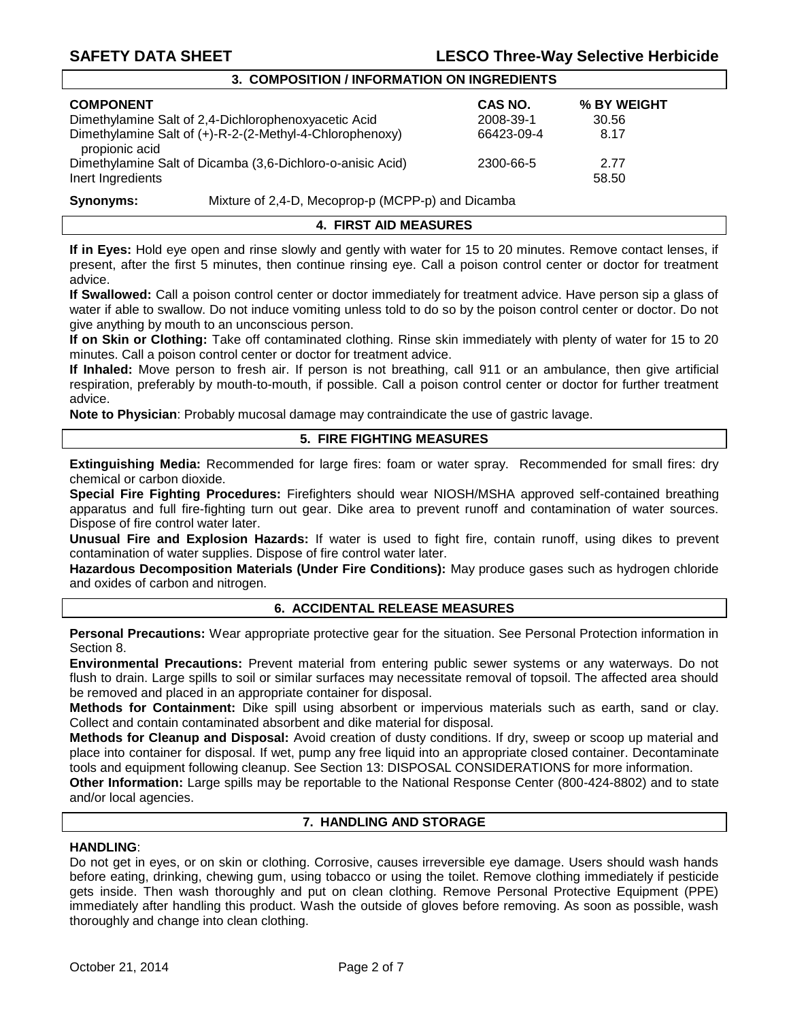# **SAFETY DATA SHEET LESCO Three-Way Selective Herbicide**

# **3. COMPOSITION / INFORMATION ON INGREDIENTS**

| <b>COMPONENT</b>                                                                                  | CAS NO.    | % BY WEIGHT   |
|---------------------------------------------------------------------------------------------------|------------|---------------|
| Dimethylamine Salt of 2,4-Dichlorophenoxyacetic Acid                                              | 2008-39-1  | 30.56         |
| Dimethylamine Salt of (+)-R-2-(2-Methyl-4-Chlorophenoxy)                                          | 66423-09-4 | 8.17          |
| propionic acid<br>Dimethylamine Salt of Dicamba (3,6-Dichloro-o-anisic Acid)<br>Inert Ingredients | 2300-66-5  | 2.77<br>58.50 |

# **Synonyms:** Mixture of 2,4-D, Mecoprop-p (MCPP-p) and Dicamba

# **4. FIRST AID MEASURES**

**If in Eyes:** Hold eye open and rinse slowly and gently with water for 15 to 20 minutes. Remove contact lenses, if present, after the first 5 minutes, then continue rinsing eye. Call a poison control center or doctor for treatment advice.

**If Swallowed:** Call a poison control center or doctor immediately for treatment advice. Have person sip a glass of water if able to swallow. Do not induce vomiting unless told to do so by the poison control center or doctor. Do not give anything by mouth to an unconscious person.

**If on Skin or Clothing:** Take off contaminated clothing. Rinse skin immediately with plenty of water for 15 to 20 minutes. Call a poison control center or doctor for treatment advice.

**If Inhaled:** Move person to fresh air. If person is not breathing, call 911 or an ambulance, then give artificial respiration, preferably by mouth-to-mouth, if possible. Call a poison control center or doctor for further treatment advice.

**Note to Physician**: Probably mucosal damage may contraindicate the use of gastric lavage.

## **5. FIRE FIGHTING MEASURES**

**Extinguishing Media:** Recommended for large fires: foam or water spray. Recommended for small fires: dry chemical or carbon dioxide.

**Special Fire Fighting Procedures:** Firefighters should wear NIOSH/MSHA approved self-contained breathing apparatus and full fire-fighting turn out gear. Dike area to prevent runoff and contamination of water sources. Dispose of fire control water later.

**Unusual Fire and Explosion Hazards:** If water is used to fight fire, contain runoff, using dikes to prevent contamination of water supplies. Dispose of fire control water later.

**Hazardous Decomposition Materials (Under Fire Conditions):** May produce gases such as hydrogen chloride and oxides of carbon and nitrogen.

## **6. ACCIDENTAL RELEASE MEASURES**

**Personal Precautions:** Wear appropriate protective gear for the situation. See Personal Protection information in Section 8.

**Environmental Precautions:** Prevent material from entering public sewer systems or any waterways. Do not flush to drain. Large spills to soil or similar surfaces may necessitate removal of topsoil. The affected area should be removed and placed in an appropriate container for disposal.

**Methods for Containment:** Dike spill using absorbent or impervious materials such as earth, sand or clay. Collect and contain contaminated absorbent and dike material for disposal.

**Methods for Cleanup and Disposal:** Avoid creation of dusty conditions. If dry, sweep or scoop up material and place into container for disposal. If wet, pump any free liquid into an appropriate closed container. Decontaminate tools and equipment following cleanup. See Section 13: DISPOSAL CONSIDERATIONS for more information.

**Other Information:** Large spills may be reportable to the National Response Center (800-424-8802) and to state and/or local agencies.

# **7. HANDLING AND STORAGE**

#### **HANDLING**:

Do not get in eyes, or on skin or clothing. Corrosive, causes irreversible eye damage. Users should wash hands before eating, drinking, chewing gum, using tobacco or using the toilet. Remove clothing immediately if pesticide gets inside. Then wash thoroughly and put on clean clothing. Remove Personal Protective Equipment (PPE) immediately after handling this product. Wash the outside of gloves before removing. As soon as possible, wash thoroughly and change into clean clothing.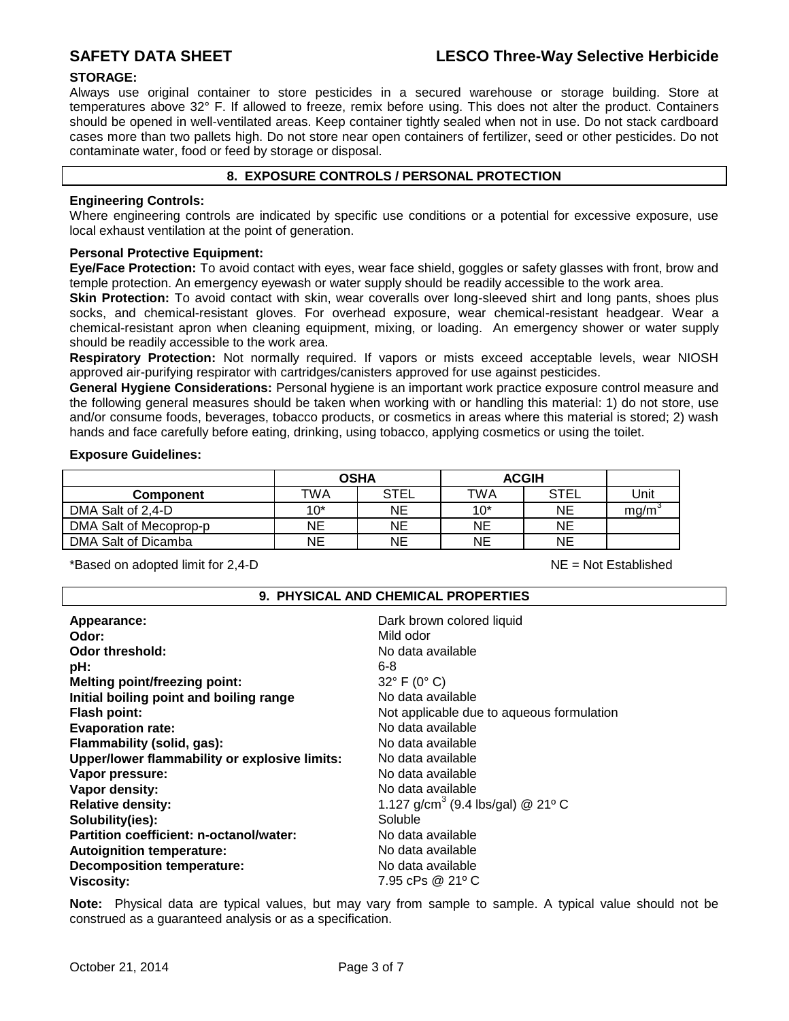# **STORAGE:**

Always use original container to store pesticides in a secured warehouse or storage building. Store at temperatures above 32° F. If allowed to freeze, remix before using. This does not alter the product. Containers should be opened in well-ventilated areas. Keep container tightly sealed when not in use. Do not stack cardboard cases more than two pallets high. Do not store near open containers of fertilizer, seed or other pesticides. Do not contaminate water, food or feed by storage or disposal.

# **8. EXPOSURE CONTROLS / PERSONAL PROTECTION**

# **Engineering Controls:**

Where engineering controls are indicated by specific use conditions or a potential for excessive exposure, use local exhaust ventilation at the point of generation.

# **Personal Protective Equipment:**

**Eye/Face Protection:** To avoid contact with eyes, wear face shield, goggles or safety glasses with front, brow and temple protection. An emergency eyewash or water supply should be readily accessible to the work area.

**Skin Protection:** To avoid contact with skin, wear coveralls over long-sleeved shirt and long pants, shoes plus socks, and chemical-resistant gloves. For overhead exposure, wear chemical-resistant headgear. Wear a chemical-resistant apron when cleaning equipment, mixing, or loading. An emergency shower or water supply should be readily accessible to the work area.

**Respiratory Protection:** Not normally required. If vapors or mists exceed acceptable levels, wear NIOSH approved air-purifying respirator with cartridges/canisters approved for use against pesticides.

**General Hygiene Considerations:** Personal hygiene is an important work practice exposure control measure and the following general measures should be taken when working with or handling this material: 1) do not store, use and/or consume foods, beverages, tobacco products, or cosmetics in areas where this material is stored; 2) wash hands and face carefully before eating, drinking, using tobacco, applying cosmetics or using the toilet.

## **Exposure Guidelines:**

|                        | <b>OSHA</b> |             | <b>ACGIH</b> |             |                 |
|------------------------|-------------|-------------|--------------|-------------|-----------------|
| <b>Component</b>       | TWA         | <b>STEL</b> | TWA          | <b>STEL</b> | Unit            |
| DMA Salt of 2,4-D      | $10*$       | ΝE          | $10*$        | ΝE          | mg/m $^{\circ}$ |
| DMA Salt of Mecoprop-p | NΕ          | ΝE          | <b>NE</b>    | NE          |                 |
| DMA Salt of Dicamba    | NΕ          | NΕ          | NE           | NE          |                 |

\*Based on adopted limit for 2,4-D NE = Not Established

# **9. PHYSICAL AND CHEMICAL PROPERTIES**

| Appearance:<br>Odor:<br>Odor threshold:<br>pH:<br><b>Melting point/freezing point:</b> | Dark brown colored liquid<br>Mild odor<br>No data available<br>6-8<br>$32^{\circ}$ F (0° C) |
|----------------------------------------------------------------------------------------|---------------------------------------------------------------------------------------------|
| Initial boiling point and boiling range                                                | No data available                                                                           |
| <b>Flash point:</b>                                                                    | Not applicable due to aqueous formulation                                                   |
| <b>Evaporation rate:</b>                                                               | No data available                                                                           |
| Flammability (solid, gas):                                                             | No data available                                                                           |
| Upper/lower flammability or explosive limits:                                          | No data available                                                                           |
| Vapor pressure:                                                                        | No data available                                                                           |
| Vapor density:                                                                         | No data available                                                                           |
| <b>Relative density:</b>                                                               | 1.127 g/cm <sup>3</sup> (9.4 lbs/gal) @ 21° C                                               |
| Solubility(ies):                                                                       | Soluble                                                                                     |
| Partition coefficient: n-octanol/water:                                                | No data available                                                                           |
| <b>Autoignition temperature:</b>                                                       | No data available                                                                           |
| <b>Decomposition temperature:</b>                                                      | No data available                                                                           |
| <b>Viscosity:</b>                                                                      | 7.95 cPs @ 21° C                                                                            |

**Note:** Physical data are typical values, but may vary from sample to sample. A typical value should not be construed as a guaranteed analysis or as a specification.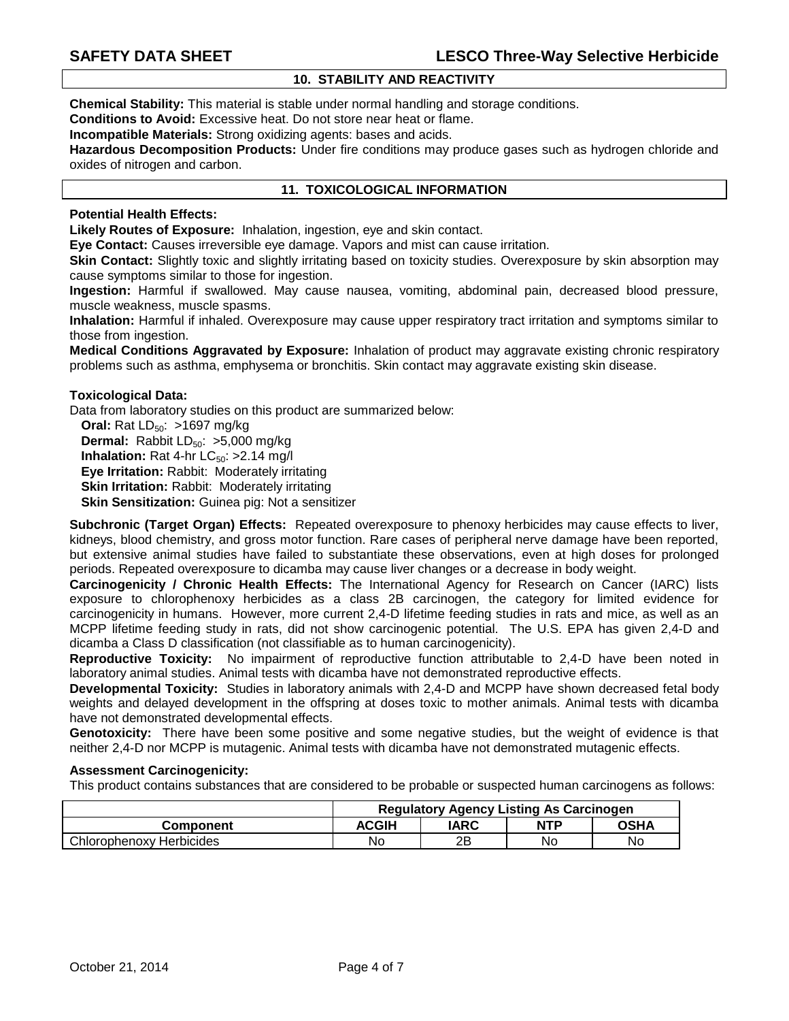# **10. STABILITY AND REACTIVITY**

**Chemical Stability:** This material is stable under normal handling and storage conditions.

**Conditions to Avoid:** Excessive heat. Do not store near heat or flame.

**Incompatible Materials:** Strong oxidizing agents: bases and acids.

**Hazardous Decomposition Products:** Under fire conditions may produce gases such as hydrogen chloride and oxides of nitrogen and carbon.

## **11. TOXICOLOGICAL INFORMATION**

## **Potential Health Effects:**

**Likely Routes of Exposure:** Inhalation, ingestion, eye and skin contact.

**Eye Contact:** Causes irreversible eye damage. Vapors and mist can cause irritation.

**Skin Contact:** Slightly toxic and slightly irritating based on toxicity studies. Overexposure by skin absorption may cause symptoms similar to those for ingestion.

**Ingestion:** Harmful if swallowed. May cause nausea, vomiting, abdominal pain, decreased blood pressure, muscle weakness, muscle spasms.

**Inhalation:** Harmful if inhaled. Overexposure may cause upper respiratory tract irritation and symptoms similar to those from ingestion.

**Medical Conditions Aggravated by Exposure:** Inhalation of product may aggravate existing chronic respiratory problems such as asthma, emphysema or bronchitis. Skin contact may aggravate existing skin disease.

#### **Toxicological Data:**

Data from laboratory studies on this product are summarized below:

**Oral:** Rat LD<sub>50</sub>: >1697 mg/kg **Dermal:** Rabbit  $LD_{50}$ : >5,000 mg/kg **Inhalation:** Rat 4-hr  $LC_{50}$ : >2.14 mg/l **Eye Irritation:** Rabbit: Moderately irritating **Skin Irritation:** Rabbit: Moderately irritating **Skin Sensitization:** Guinea pig: Not a sensitizer

**Subchronic (Target Organ) Effects:** Repeated overexposure to phenoxy herbicides may cause effects to liver, kidneys, blood chemistry, and gross motor function. Rare cases of peripheral nerve damage have been reported, but extensive animal studies have failed to substantiate these observations, even at high doses for prolonged periods. Repeated overexposure to dicamba may cause liver changes or a decrease in body weight.

**Carcinogenicity / Chronic Health Effects:** The International Agency for Research on Cancer (IARC) lists exposure to chlorophenoxy herbicides as a class 2B carcinogen, the category for limited evidence for carcinogenicity in humans. However, more current 2,4-D lifetime feeding studies in rats and mice, as well as an MCPP lifetime feeding study in rats, did not show carcinogenic potential. The U.S. EPA has given 2,4-D and dicamba a Class D classification (not classifiable as to human carcinogenicity).

**Reproductive Toxicity:** No impairment of reproductive function attributable to 2,4-D have been noted in laboratory animal studies. Animal tests with dicamba have not demonstrated reproductive effects.

**Developmental Toxicity:** Studies in laboratory animals with 2,4-D and MCPP have shown decreased fetal body weights and delayed development in the offspring at doses toxic to mother animals. Animal tests with dicamba have not demonstrated developmental effects.

**Genotoxicity:** There have been some positive and some negative studies, but the weight of evidence is that neither 2,4-D nor MCPP is mutagenic. Animal tests with dicamba have not demonstrated mutagenic effects.

#### **Assessment Carcinogenicity:**

This product contains substances that are considered to be probable or suspected human carcinogens as follows:

|                          | <b>Requiatory Agency Listing As Carcinogen</b> |      |            |      |
|--------------------------|------------------------------------------------|------|------------|------|
| <b>Component</b>         | <b>ACGIH</b>                                   | IARC | <b>NTP</b> | OSHA |
| Chlorophenoxy Herbicides | No                                             | 2Β   | No         | No   |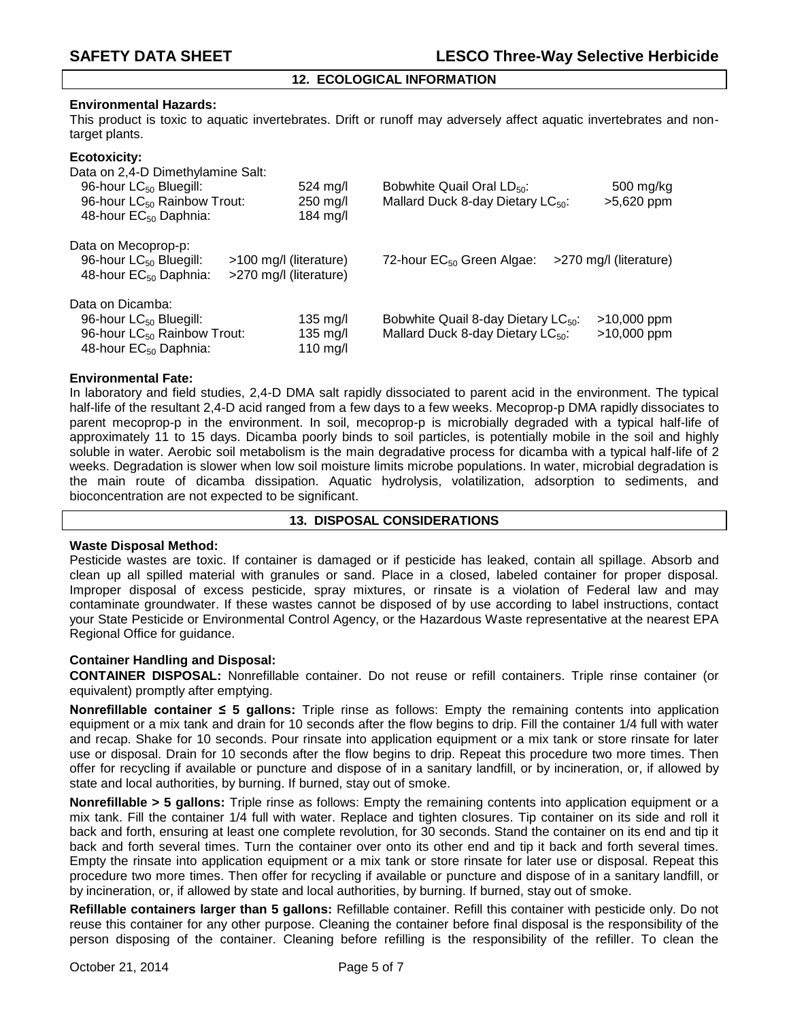# **12. ECOLOGICAL INFORMATION**

### **Environmental Hazards:**

This product is toxic to aquatic invertebrates. Drift or runoff may adversely affect aquatic invertebrates and nontarget plants.

#### **Ecotoxicity:**

Data on 2,4-D Dimethylamine Salt:

| 96-hour LC <sub>50</sub> Bluegill:<br>96-hour LC <sub>50</sub> Rainbow Trout:<br>48-hour EC <sub>50</sub> Daphnia:                     | $524 \text{ ma/l}$<br>$250$ mg/l<br>184 mg/l     | Bobwhite Quail Oral LD <sub>50</sub> :<br>Mallard Duck 8-day Dietary LC <sub>50</sub> :          | 500 mg/kg<br>>5,620 ppm        |
|----------------------------------------------------------------------------------------------------------------------------------------|--------------------------------------------------|--------------------------------------------------------------------------------------------------|--------------------------------|
| Data on Mecoprop-p:<br>96-hour LC <sub>50</sub> Bluegill:<br>48-hour EC <sub>50</sub> Daphnia:                                         | >100 mg/l (literature)<br>>270 mg/l (literature) | 72-hour EC <sub>50</sub> Green Algae:                                                            | >270 mg/l (literature)         |
| Data on Dicamba:<br>96-hour LC <sub>50</sub> Bluegill:<br>96-hour LC <sub>50</sub> Rainbow Trout:<br>48-hour EC <sub>50</sub> Daphnia: | 135 mg/l<br>135 mg/l<br>110 mg/l                 | Bobwhite Quail 8-day Dietary LC <sub>50</sub> :<br>Mallard Duck 8-day Dietary LC <sub>50</sub> : | $>10,000$ ppm<br>$>10,000$ ppm |

### **Environmental Fate:**

In laboratory and field studies, 2,4-D DMA salt rapidly dissociated to parent acid in the environment. The typical half-life of the resultant 2,4-D acid ranged from a few days to a few weeks. Mecoprop-p DMA rapidly dissociates to parent mecoprop-p in the environment. In soil, mecoprop-p is microbially degraded with a typical half-life of approximately 11 to 15 days. Dicamba poorly binds to soil particles, is potentially mobile in the soil and highly soluble in water. Aerobic soil metabolism is the main degradative process for dicamba with a typical half-life of 2 weeks. Degradation is slower when low soil moisture limits microbe populations. In water, microbial degradation is the main route of dicamba dissipation. Aquatic hydrolysis, volatilization, adsorption to sediments, and bioconcentration are not expected to be significant.

#### **13. DISPOSAL CONSIDERATIONS**

## **Waste Disposal Method:**

Pesticide wastes are toxic. If container is damaged or if pesticide has leaked, contain all spillage. Absorb and clean up all spilled material with granules or sand. Place in a closed, labeled container for proper disposal. Improper disposal of excess pesticide, spray mixtures, or rinsate is a violation of Federal law and may contaminate groundwater. If these wastes cannot be disposed of by use according to label instructions, contact your State Pesticide or Environmental Control Agency, or the Hazardous Waste representative at the nearest EPA Regional Office for guidance.

## **Container Handling and Disposal:**

**CONTAINER DISPOSAL:** Nonrefillable container. Do not reuse or refill containers. Triple rinse container (or equivalent) promptly after emptying.

**Nonrefillable container ≤ 5 gallons:** Triple rinse as follows: Empty the remaining contents into application equipment or a mix tank and drain for 10 seconds after the flow begins to drip. Fill the container 1/4 full with water and recap. Shake for 10 seconds. Pour rinsate into application equipment or a mix tank or store rinsate for later use or disposal. Drain for 10 seconds after the flow begins to drip. Repeat this procedure two more times. Then offer for recycling if available or puncture and dispose of in a sanitary landfill, or by incineration, or, if allowed by state and local authorities, by burning. If burned, stay out of smoke.

**Nonrefillable > 5 gallons:** Triple rinse as follows: Empty the remaining contents into application equipment or a mix tank. Fill the container 1/4 full with water. Replace and tighten closures. Tip container on its side and roll it back and forth, ensuring at least one complete revolution, for 30 seconds. Stand the container on its end and tip it back and forth several times. Turn the container over onto its other end and tip it back and forth several times. Empty the rinsate into application equipment or a mix tank or store rinsate for later use or disposal. Repeat this procedure two more times. Then offer for recycling if available or puncture and dispose of in a sanitary landfill, or by incineration, or, if allowed by state and local authorities, by burning. If burned, stay out of smoke.

**Refillable containers larger than 5 gallons:** Refillable container. Refill this container with pesticide only. Do not reuse this container for any other purpose. Cleaning the container before final disposal is the responsibility of the person disposing of the container. Cleaning before refilling is the responsibility of the refiller. To clean the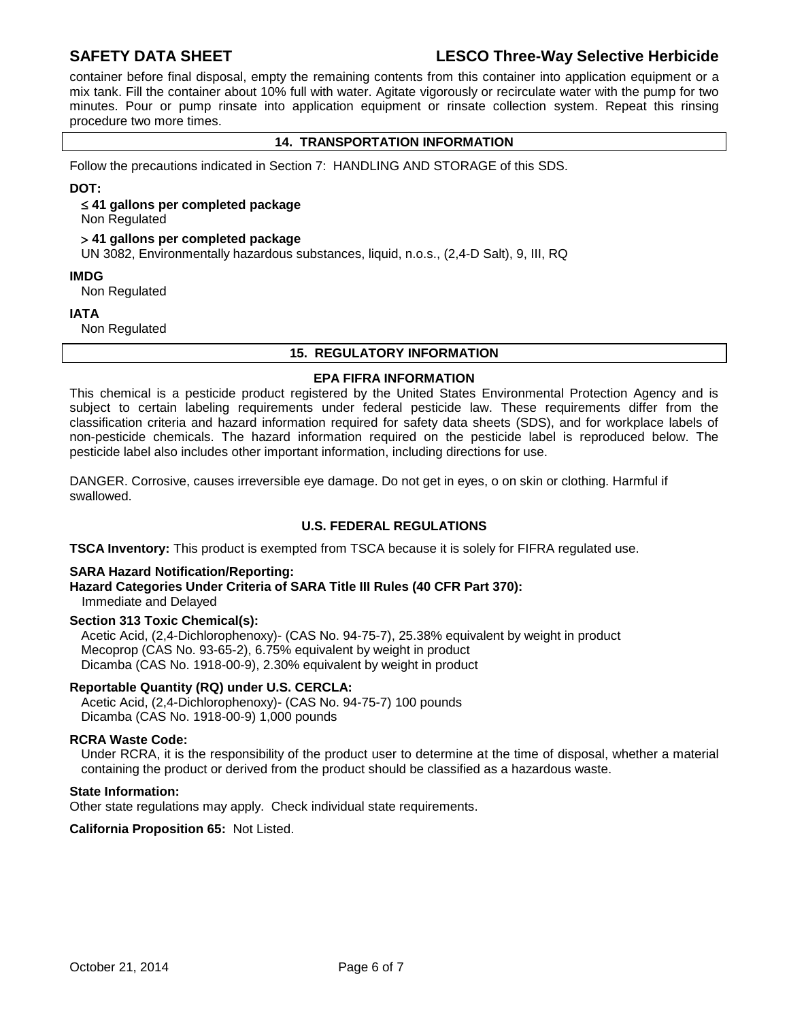# **SAFETY DATA SHEET LESCO Three-Way Selective Herbicide**

container before final disposal, empty the remaining contents from this container into application equipment or a mix tank. Fill the container about 10% full with water. Agitate vigorously or recirculate water with the pump for two minutes. Pour or pump rinsate into application equipment or rinsate collection system. Repeat this rinsing procedure two more times.

# **14. TRANSPORTATION INFORMATION**

Follow the precautions indicated in Section 7: HANDLING AND STORAGE of this SDS.

#### **DOT:**

#### **41 gallons per completed package**

Non Regulated

#### **41 gallons per completed package**

UN 3082, Environmentally hazardous substances, liquid, n.o.s., (2,4-D Salt), 9, III, RQ

#### **IMDG**

Non Regulated

#### **IATA**

Non Regulated

#### **15. REGULATORY INFORMATION**

#### **EPA FIFRA INFORMATION**

This chemical is a pesticide product registered by the United States Environmental Protection Agency and is subject to certain labeling requirements under federal pesticide law. These requirements differ from the classification criteria and hazard information required for safety data sheets (SDS), and for workplace labels of non-pesticide chemicals. The hazard information required on the pesticide label is reproduced below. The pesticide label also includes other important information, including directions for use.

DANGER. Corrosive, causes irreversible eye damage. Do not get in eyes, o on skin or clothing. Harmful if swallowed.

# **U.S. FEDERAL REGULATIONS**

**TSCA Inventory:** This product is exempted from TSCA because it is solely for FIFRA regulated use.

## **SARA Hazard Notification/Reporting:**

## **Hazard Categories Under Criteria of SARA Title III Rules (40 CFR Part 370):** Immediate and Delayed

## **Section 313 Toxic Chemical(s):**

Acetic Acid, (2,4-Dichlorophenoxy)- (CAS No. 94-75-7), 25.38% equivalent by weight in product Mecoprop (CAS No. 93-65-2), 6.75% equivalent by weight in product Dicamba (CAS No. 1918-00-9), 2.30% equivalent by weight in product

## **Reportable Quantity (RQ) under U.S. CERCLA:**

Acetic Acid, (2,4-Dichlorophenoxy)- (CAS No. 94-75-7) 100 pounds Dicamba (CAS No. 1918-00-9) 1,000 pounds

#### **RCRA Waste Code:**

Under RCRA, it is the responsibility of the product user to determine at the time of disposal, whether a material containing the product or derived from the product should be classified as a hazardous waste.

## **State Information:**

Other state regulations may apply. Check individual state requirements.

**California Proposition 65:** Not Listed.